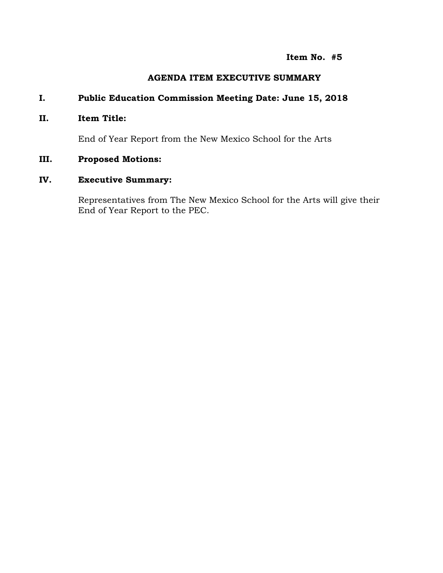### **Item No. #5**

### **AGENDA ITEM EXECUTIVE SUMMARY**

# **I. Public Education Commission Meeting Date: June 15, 2018**

### **II. Item Title:**

End of Year Report from the New Mexico School for the Arts

### **III. Proposed Motions:**

# **IV. Executive Summary:**

Representatives from The New Mexico School for the Arts will give their End of Year Report to the PEC.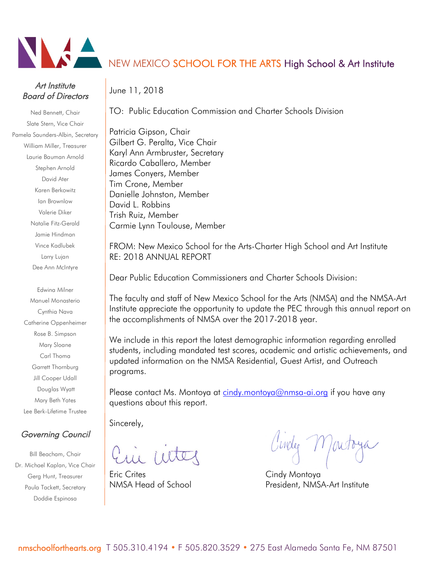

# Art Institute Board of Directors

Ned Bennett, Chair Slate Stern, Vice Chair Pamela Saunders-Albin, Secretary William Miller, Treasurer Laurie Bauman Arnold Stephen Arnold David Ater Karen Berkowitz Ian Brownlow Valerie Diker Natalie Fitz-Gerald Jamie Hindman Vince Kadlubek Larry Lujan Dee Ann McIntyre

> Edwina Milner Manuel Monasterio Cynthia Nava Catherine Oppenheimer Rose B. Simpson Mary Sloane Carl Thoma Garrett Thornburg Jill Cooper Udall Douglas Wyatt Mary Beth Yates Lee Berk-Lifetime Trustee

# Governing Council

Bill Beacham, Chair Dr. Michael Kaplan, Vice Chair Gerg Hunt, Treasurer Paula Tackett, Secretary Doddie Espinosa

# NEW MEXICO SCHOOL FOR THE ARTS High School & Art Institute

June 11, 2018

TO: Public Education Commission and Charter Schools Division

Patricia Gipson, Chair Gilbert G. Peralta, Vice Chair Karyl Ann Armbruster, Secretary Ricardo Caballero, Member James Conyers, Member Tim Crone, Member Danielle Johnston, Member David L. Robbins Trish Ruiz, Member Carmie Lynn Toulouse, Member

FROM: New Mexico School for the Arts-Charter High School and Art Institute RE: 2018 ANNUAL REPORT

Dear Public Education Commissioners and Charter Schools Division:

The faculty and staff of New Mexico School for the Arts (NMSA) and the NMSA-Art Institute appreciate the opportunity to update the PEC through this annual report on the accomplishments of NMSA over the 2017-2018 year.

We include in this report the latest demographic information regarding enrolled students, including mandated test scores, academic and artistic achievements, and updated information on the NMSA Residential, Guest Artist, and Outreach programs.

Please contact Ms. Montoya at cindy.montoya@nmsa-ai.org if you have any questions about this report.

Sincerely,

Eric Crites **Communist Crites** Cindy Montoya

Ginder M

NMSA Head of School **President, NMSA-Art Institute**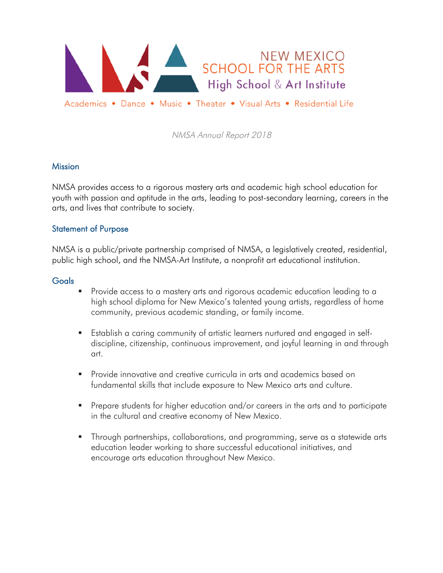

### **Mission**

NMSA provides access to a rigorous mastery arts and academic high school education for youth with passion and aptitude in the arts, leading to post-secondary learning, careers in the arts, and lives that contribute to society.

### Statement of Purpose

NMSA is a public/private partnership comprised of NMSA, a legislatively created, residential, public high school, and the NMSA-Art Institute, a nonprofit art educational institution.

### **Goals**

- § Provide access to a mastery arts and rigorous academic education leading to a high school diploma for New Mexico's talented young artists, regardless of home community, previous academic standing, or family income.
- Establish a caring community of artistic learners nurtured and engaged in selfdiscipline, citizenship, continuous improvement, and joyful learning in and through art.
- § Provide innovative and creative curricula in arts and academics based on fundamental skills that include exposure to New Mexico arts and culture.
- Prepare students for higher education and/or careers in the arts and to participate in the cultural and creative economy of New Mexico.
- Through partnerships, collaborations, and programming, serve as a statewide arts education leader working to share successful educational initiatives, and encourage arts education throughout New Mexico.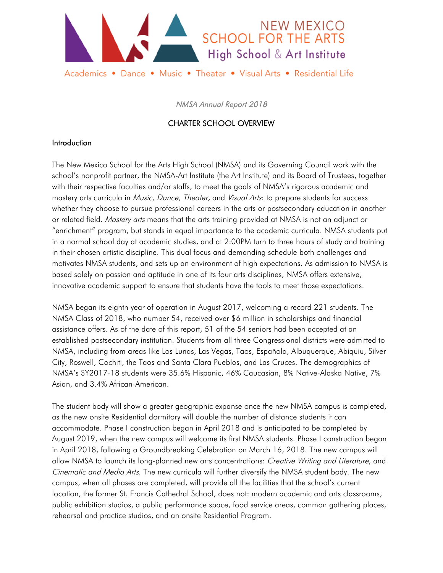

# CHARTER SCHOOL OVERVIEW

### Introduction

The New Mexico School for the Arts High School (NMSA) and its Governing Council work with the school's nonprofit partner, the NMSA-Art Institute (the Art Institute) and its Board of Trustees, together with their respective faculties and/or staffs, to meet the goals of NMSA's rigorous academic and mastery arts curricula in Music, Dance, Theater, and Visual Arts: to prepare students for success whether they choose to pursue professional careers in the arts or postsecondary education in another or related field. Mastery arts means that the arts training provided at NMSA is not an adjunct or "enrichment" program, but stands in equal importance to the academic curricula. NMSA students put in a normal school day at academic studies, and at 2:00PM turn to three hours of study and training in their chosen artistic discipline. This dual focus and demanding schedule both challenges and motivates NMSA students, and sets up an environment of high expectations. As admission to NMSA is based solely on passion and aptitude in one of its four arts disciplines, NMSA offers extensive, innovative academic support to ensure that students have the tools to meet those expectations.

NMSA began its eighth year of operation in August 2017, welcoming a record 221 students. The NMSA Class of 2018, who number 54, received over \$6 million in scholarships and financial assistance offers. As of the date of this report, 51 of the 54 seniors had been accepted at an established postsecondary institution. Students from all three Congressional districts were admitted to NMSA, including from areas like Los Lunas, Las Vegas, Taos, Española, Albuquerque, Abiquiu, Silver City, Roswell, Cochiti, the Taos and Santa Clara Pueblos, and Las Cruces. The demographics of NMSA's SY2017-18 students were 35.6% Hispanic, 46% Caucasian, 8% Native-Alaska Native, 7% Asian, and 3.4% African-American.

The student body will show a greater geographic expanse once the new NMSA campus is completed, as the new onsite Residential dormitory will double the number of distance students it can accommodate. Phase I construction began in April 2018 and is anticipated to be completed by August 2019, when the new campus will welcome its first NMSA students. Phase I construction began in April 2018, following a Groundbreaking Celebration on March 16, 2018. The new campus will allow NMSA to launch its long-planned new arts concentrations: Creative Writing and Literature, and Cinematic and Media Arts. The new curricula will further diversify the NMSA student body. The new campus, when all phases are completed, will provide all the facilities that the school's current location, the former St. Francis Cathedral School, does not: modern academic and arts classrooms, public exhibition studios, a public performance space, food service areas, common gathering places, rehearsal and practice studios, and an onsite Residential Program.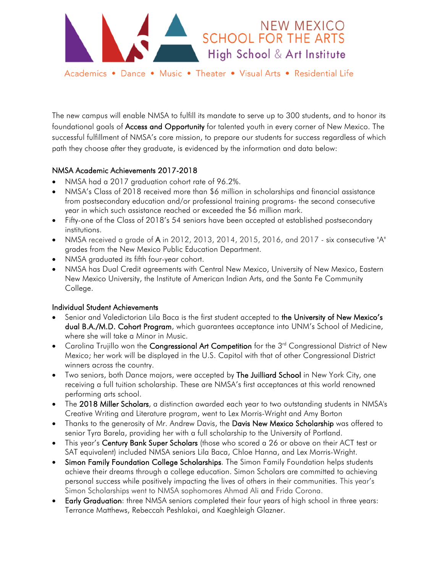

The new campus will enable NMSA to fulfill its mandate to serve up to 300 students, and to honor its foundational goals of **Access and Opportunity** for talented youth in every corner of New Mexico. The successful fulfillment of NMSA's core mission, to prepare our students for success regardless of which

path they choose after they graduate, is evidenced by the information and data below:

### NMSA Academic Achievements 2017-2018

- NMSA had a 2017 graduation cohort rate of 96.2%.
- NMSA's Class of 2018 received more than \$6 million in scholarships and financial assistance from postsecondary education and/or professional training programs- the second consecutive year in which such assistance reached or exceeded the \$6 million mark.
- Fifty-one of the Class of 2018's 54 seniors have been accepted at established postsecondary institutions.
- NMSA received a grade of A in 2012, 2013, 2014, 2015, 2016, and 2017 six consecutive "A" grades from the New Mexico Public Education Department.
- NMSA graduated its fifth four-year cohort.
- NMSA has Dual Credit agreements with Central New Mexico, University of New Mexico, Eastern New Mexico University, the Institute of American Indian Arts, and the Santa Fe Community College.

#### Individual Student Achievements

- Senior and Valedictorian Lila Baca is the first student accepted to the University of New Mexico's dual B.A./M.D. Cohort Program, which guarantees acceptance into UNM's School of Medicine, where she will take a Minor in Music.
- Carolina Trujillo won the Congressional Art Competition for the 3<sup>rd</sup> Congressional District of New Mexico; her work will be displayed in the U.S. Capitol with that of other Congressional District winners across the country.
- Two seniors, both Dance majors, were accepted by The Juilliard School in New York City, one receiving a full tuition scholarship. These are NMSA's first acceptances at this world renowned performing arts school.
- The 2018 Miller Scholars, a distinction awarded each year to two outstanding students in NMSA's Creative Writing and Literature program, went to Lex Morris-Wright and Amy Borton
- Thanks to the generosity of Mr. Andrew Davis, the Davis New Mexico Scholarship was offered to senior Tyra Barela, providing her with a full scholarship to the University of Portland.
- This year's Century Bank Super Scholars (those who scored a 26 or above on their ACT test or SAT equivalent) included NMSA seniors Lila Baca, Chloe Hanna, and Lex Morris-Wright.
- Simon Family Foundation College Scholarships. The Simon Family Foundation helps students achieve their dreams through a college education. Simon Scholars are committed to achieving personal success while positively impacting the lives of others in their communities. This year's Simon Scholarships went to NMSA sophomores Ahmad Ali and Frida Corona.
- Early Graduation: three NMSA seniors completed their four years of high school in three years: Terrance Matthews, Rebeccah Peshlakai, and Kaeghleigh Glazner.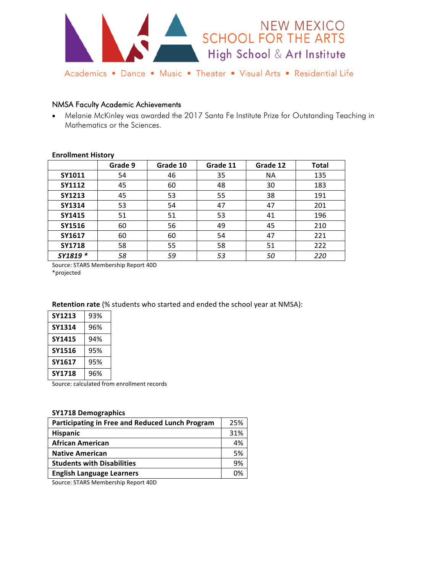

#### NMSA Faculty Academic Achievements

• Melanie McKinley was awarded the 2017 Santa Fe Institute Prize for Outstanding Teaching in Mathematics or the Sciences.

#### **Enrollment History**

|               | Grade 9 | Grade 10 | Grade 11 | Grade 12  | <b>Total</b> |
|---------------|---------|----------|----------|-----------|--------------|
| SY1011        | 54      | 46       | 35       | <b>NA</b> | 135          |
| SY1112        | 45      | 60       | 48       | 30        | 183          |
| <b>SY1213</b> | 45      | 53       | 55       | 38        | 191          |
| SY1314        | 53      | 54       | 47       | 47        | 201          |
| SY1415        | 51      | 51       | 53       | 41        | 196          |
| SY1516        | 60      | 56       | 49       | 45        | 210          |
| SY1617        | 60      | 60       | 54       | 47        | 221          |
| <b>SY1718</b> | 58      | 55       | 58       | 51        | 222          |
| SY1819 *      | 58      | 59       | 53       | 50        | 220          |

Source: STARS Membership Report 40D

\*projected 

#### **Retention rate** (% students who started and ended the school year at NMSA):

| SY1213 | 93% |
|--------|-----|
| SY1314 | 96% |
| SY1415 | 94% |
| SY1516 | 95% |
| SY1617 | 95% |
| SY1718 | 96% |

Source: calculated from enrollment records

#### **SY1718 Demographics**

| Participating in Free and Reduced Lunch Program | 25% |
|-------------------------------------------------|-----|
| <b>Hispanic</b>                                 | 31% |
| <b>African American</b>                         | 4%  |
| <b>Native American</b>                          | 5%  |
| <b>Students with Disabilities</b>               | 9%  |
| <b>English Language Learners</b>                | በ%  |
|                                                 |     |

Source: STARS Membership Report 40D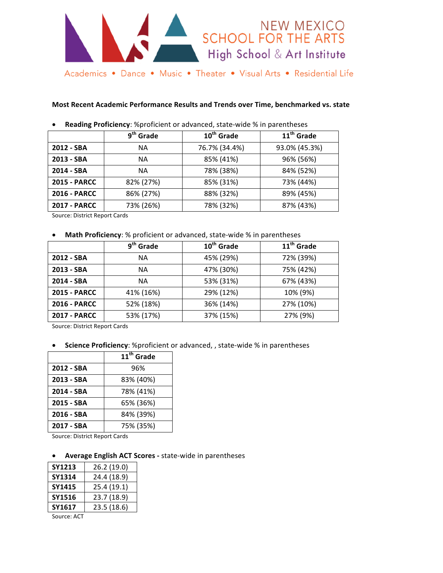

#### **Most Recent Academic Performance Results and Trends over Time, benchmarked vs. state**

|                     | 9 <sup>th</sup> Grade | $10th$ Grade  | 11 <sup>th</sup> Grade |
|---------------------|-----------------------|---------------|------------------------|
| 2012 - SBA          | <b>NA</b>             | 76.7% (34.4%) | 93.0% (45.3%)          |
| 2013 - SBA          | <b>NA</b>             | 85% (41%)     | 96% (56%)              |
| 2014 - SBA          | <b>NA</b>             | 78% (38%)     | 84% (52%)              |
| <b>2015 - PARCC</b> | 82% (27%)             | 85% (31%)     | 73% (44%)              |
| <b>2016 - PARCC</b> | 86% (27%)             | 88% (32%)     | 89% (45%)              |
| <b>2017 - PARCC</b> | 73% (26%)             | 78% (32%)     | 87% (43%)              |

• Reading Proficiency: %proficient or advanced, state-wide % in parentheses

Source: District Report Cards

#### **Math Proficiency**: % proficient or advanced, state-wide % in parentheses

|                     | 9 <sup>th</sup> Grade | 10 <sup>th</sup> Grade | 11 <sup>th</sup> Grade |
|---------------------|-----------------------|------------------------|------------------------|
| 2012 - SBA          | NА                    | 45% (29%)              | 72% (39%)              |
| 2013 - SBA          | <b>NA</b>             | 47% (30%)              | 75% (42%)              |
| 2014 - SBA          | <b>NA</b>             | 53% (31%)              | 67% (43%)              |
| <b>2015 - PARCC</b> | 41% (16%)             | 29% (12%)              | 10% (9%)               |
| <b>2016 - PARCC</b> | 52% (18%)             | 36% (14%)              | 27% (10%)              |
| <b>2017 - PARCC</b> | 53% (17%)             | 37% (15%)              | 27% (9%)               |

Source: District Report Cards

#### **Science Proficiency**: %proficient or advanced, , state-wide % in parentheses

|            | 11 <sup>th</sup> Grade |
|------------|------------------------|
| 2012 - SBA | 96%                    |
| 2013 - SBA | 83% (40%)              |
| 2014 - SBA | 78% (41%)              |
| 2015 - SBA | 65% (36%)              |
| 2016 - SBA | 84% (39%)              |
| 2017 - SBA | 75% (35%)              |

Source: District Report Cards

#### Average English ACT Scores - state-wide in parentheses

| SY1213 | 26.2 (19.0) |  |
|--------|-------------|--|
| SY1314 | 24.4 (18.9) |  |
| SY1415 | 25.4 (19.1) |  |
| SY1516 | 23.7 (18.9) |  |
| SY1617 | 23.5 (18.6) |  |
|        |             |  |

Source: ACT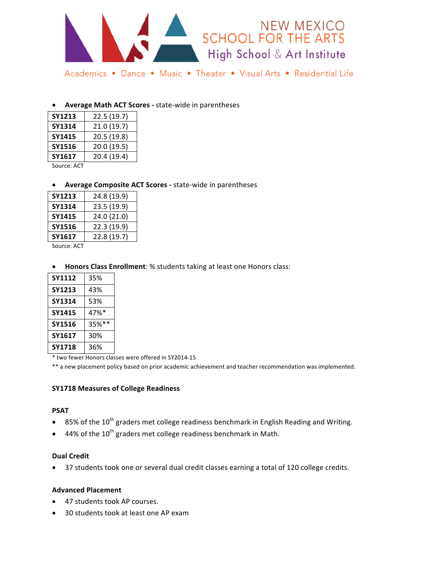

#### Average Math ACT Scores - state-wide in parentheses

| SY1213 | 22.5 (19.7) |  |
|--------|-------------|--|
| SY1314 | 21.0 (19.7) |  |
| SY1415 | 20.5 (19.8) |  |
| SY1516 | 20.0 (19.5) |  |
| SY1617 | 20.4 (19.4) |  |
|        |             |  |

Source: ACT

#### Average Composite ACT Scores - state-wide in parentheses

| SY1213 | 24.8 (19.9) |
|--------|-------------|
| SY1314 | 23.5 (19.9) |
| SY1415 | 24.0 (21.0) |
| SY1516 | 22.3 (19.9) |
| SY1617 | 22.8 (19.7) |
|        |             |

Source: ACT

#### Honors Class Enrollment: % students taking at least one Honors class:

| SY1112        | 35%      |
|---------------|----------|
| <b>SY1213</b> | 43%      |
| SY1314        | 53%      |
| SY1415        | 47%*     |
| SY1516        | $35%$ ** |
| SY1617        | 30%      |
| <b>SY1718</b> | 36%      |

\* two fewer Honors classes were offered in SY2014-15

\*\* a new placement policy based on prior academic achievement and teacher recommendation was implemented.

#### **SY1718 Measures of College Readiness**

#### **PSAT**

- 85% of the 10<sup>th</sup> graders met college readiness benchmark in English Reading and Writing.
- 44% of the  $10^{\text{th}}$  graders met college readiness benchmark in Math.

#### **Dual Credit**

37 students took one or several dual credit classes earning a total of 120 college credits.

#### **Advanced Placement**

- 47 students took AP courses.
- 30 students took at least one AP exam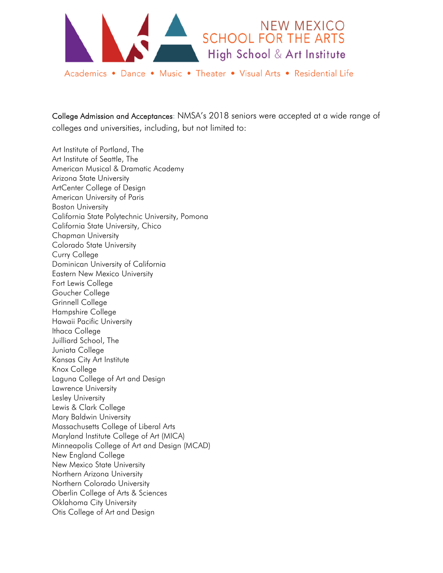

College Admission and Acceptances: NMSA's 2018 seniors were accepted at a wide range of colleges and universities, including, but not limited to:

Art Institute of Portland, The Art Institute of Seattle, The American Musical & Dramatic Academy Arizona State University ArtCenter College of Design American University of Paris Boston University California State Polytechnic University, Pomona California State University, Chico Chapman University Colorado State University Curry College Dominican University of California Eastern New Mexico University Fort Lewis College Goucher College Grinnell College Hampshire College Hawaii Pacific University Ithaca College Juilliard School, The Juniata College Kansas City Art Institute Knox College Laguna College of Art and Design Lawrence University Lesley University Lewis & Clark College Mary Baldwin University Massachusetts College of Liberal Arts Maryland Institute College of Art (MICA) Minneapolis College of Art and Design (MCAD) New England College New Mexico State University Northern Arizona University Northern Colorado University Oberlin College of Arts & Sciences Oklahoma City University Otis College of Art and Design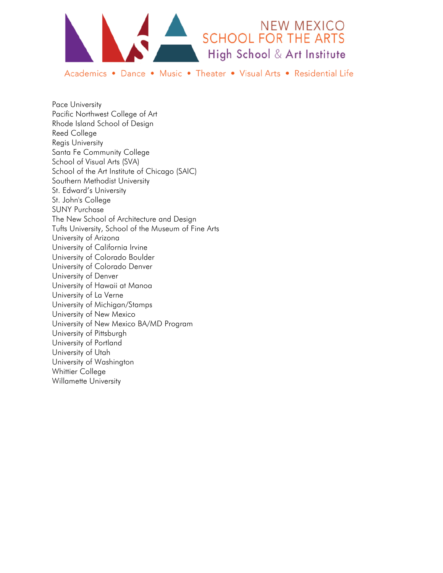

Pace University Pacific Northwest College of Art Rhode Island School of Design Reed College Regis University Santa Fe Community College School of Visual Arts (SVA) School of the Art Institute of Chicago (SAIC) Southern Methodist University St. Edward's University St. John's College SUNY Purchase The New School of Architecture and Design Tufts University, School of the Museum of Fine Arts University of Arizona University of California Irvine University of Colorado Boulder University of Colorado Denver University of Denver University of Hawaii at Manoa University of La Verne University of Michigan/Stamps University of New Mexico University of New Mexico BA/MD Program University of Pittsburgh University of Portland University of Utah University of Washington Whittier College Willamette University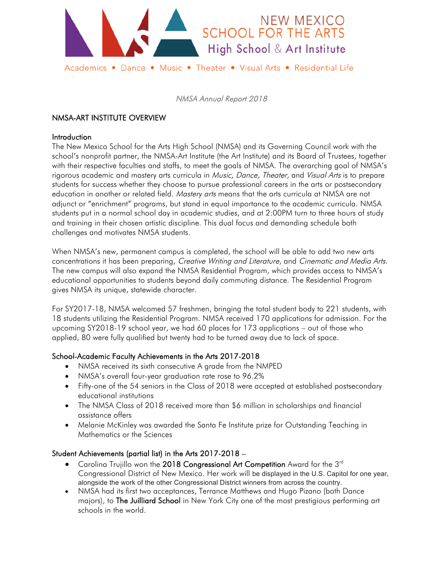

# NMSA-ART INSTITUTE OVERVIEW

### **Introduction**

The New Mexico School for the Arts High School (NMSA) and its Governing Council work with the school's nonprofit partner, the NMSA-Art Institute (the Art Institute) and its Board of Trustees, together with their respective faculties and staffs, to meet the goals of NMSA. The overarching goal of NMSA's rigorous academic and mastery arts curricula in Music, Dance, Theater, and Visual Arts is to prepare students for success whether they choose to pursue professional careers in the arts or postsecondary education in another or related field. Mastery arts means that the arts curricula at NMSA are not adjunct or "enrichment" programs, but stand in equal importance to the academic curricula. NMSA students put in a normal school day in academic studies, and at 2:00PM turn to three hours of study and training in their chosen artistic discipline. This dual focus and demanding schedule both challenges and motivates NMSA students.

When NMSA's new, permanent campus is completed, the school will be able to add two new arts concentrations it has been preparing, Creative Writing and Literature, and Cinematic and Media Arts. The new campus will also expand the NMSA Residential Program, which provides access to NMSA's educational opportunities to students beyond daily commuting distance. The Residential Program gives NMSA its unique, statewide character.

For SY2017-18, NMSA welcomed 57 freshmen, bringing the total student body to 221 students, with 18 students utilizing the Residential Program. NMSA received 170 applications for admission. For the upcoming SY2018-19 school year, we had 60 places for 173 applications – out of those who applied, 80 were fully qualified but twenty had to be turned away due to lack of space.

### School-Academic Faculty Achievements in the Arts 2017-2018

- NMSA received its sixth consecutive A grade from the NMPED
- NMSA's overall four-year graduation rate rose to 96.2%
- Fifty-one of the 54 seniors in the Class of 2018 were accepted at established postsecondary educational institutions
- The NMSA Class of 2018 received more than \$6 million in scholarships and financial assistance offers
- Melanie McKinley was awarded the Santa Fe Institute prize for Outstanding Teaching in Mathematics or the Sciences

### Student Achievements (partial list) in the Arts 2017-2018 –

- Carolina Trujillo won the 2018 Congressional Art Competition Award for the 3<sup>rd</sup> Congressional District of New Mexico. Her work will be displayed in the U.S. Capitol for one year, alongside the work of the other Congressional District winners from across the country.
- NMSA had its first two acceptances, Terrance Matthews and Hugo Pizano (both Dance majors), to The Juilliard School in New York City one of the most prestigious performing art schools in the world.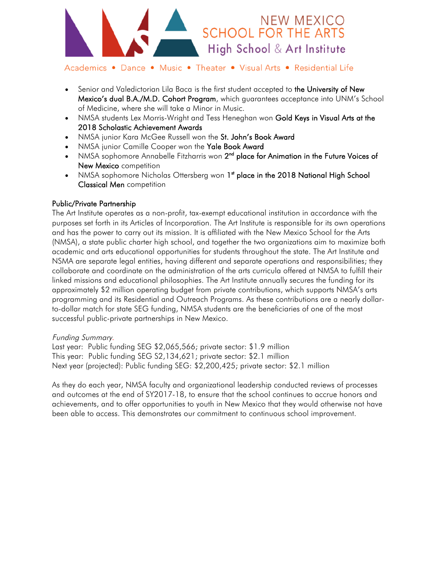

- Senior and Valedictorian Lila Baca is the first student accepted to the University of New Mexico's dual B.A./M.D. Cohort Program, which guarantees acceptance into UNM's School of Medicine, where she will take a Minor in Music.
- NMSA students Lex Morris-Wright and Tess Heneghan won Gold Keys in Visual Arts at the 2018 Scholastic Achievement Awards
- NMSA junior Kara McGee Russell won the St. John's Book Award
- NMSA junior Camille Cooper won the Yale Book Award
- NMSA sophomore Annabelle Fitzharris won 2<sup>nd</sup> place for Animation in the Future Voices of New Mexico competition
- NMSA sophomore Nicholas Ottersberg won 1<sup>st</sup> place in the 2018 National High School Classical Men competition

### Public/Private Partnership

The Art Institute operates as a non-profit, tax-exempt educational institution in accordance with the purposes set forth in its Articles of Incorporation. The Art Institute is responsible for its own operations and has the power to carry out its mission. It is affiliated with the New Mexico School for the Arts (NMSA), a state public charter high school, and together the two organizations aim to maximize both academic and arts educational opportunities for students throughout the state. The Art Institute and NSMA are separate legal entities, having different and separate operations and responsibilities; they collaborate and coordinate on the administration of the arts curricula offered at NMSA to fulfill their linked missions and educational philosophies. The Art Institute annually secures the funding for its approximately \$2 million operating budget from private contributions, which supports NMSA's arts programming and its Residential and Outreach Programs. As these contributions are a nearly dollarto-dollar match for state SEG funding, NMSA students are the beneficiaries of one of the most successful public-private partnerships in New Mexico.

### Funding Summary.

Last year: Public funding SEG \$2,065,566; private sector: \$1.9 million This year: Public funding SEG S2,134,621; private sector: \$2.1 million Next year (projected): Public funding SEG: \$2,200,425; private sector: \$2.1 million

As they do each year, NMSA faculty and organizational leadership conducted reviews of processes and outcomes at the end of SY2017-18, to ensure that the school continues to accrue honors and achievements, and to offer opportunities to youth in New Mexico that they would otherwise not have been able to access. This demonstrates our commitment to continuous school improvement.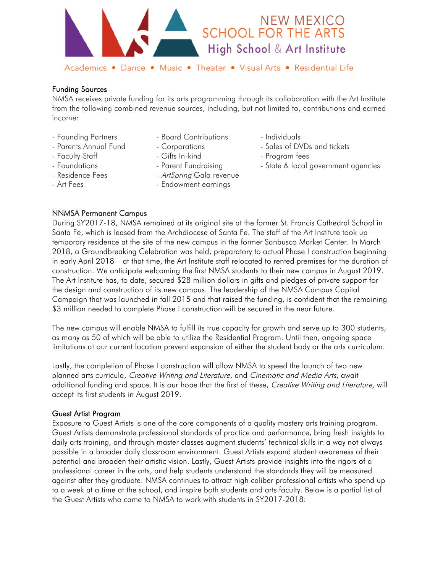

### Funding Sources

NMSA receives private funding for its arts programming through its collaboration with the Art Institute from the following combined revenue sources, including, but not limited to, contributions and earned income:

- 
- 
- 
- 
- 
- 
- Founding Partners Board Contributions Individuals
	-
	-
	-
- Residence Fees ArtSpring Gala revenue
- Art Fees  **Endowment earnings**
- 
- Parents Annual Fund Corporations Sales of DVDs and tickets
- Faculty-Staff Gifts In-kind Gifts In-alian Program fees
- Foundations Foundations Parent Fundraising Foundations State & local government agencies

### NNMSA Permanent Campus

During SY2017-18, NMSA remained at its original site at the former St. Francis Cathedral School in Santa Fe, which is leased from the Archdiocese of Santa Fe. The staff of the Art Institute took up temporary residence at the site of the new campus in the former Sanbusco Market Center. In March 2018, a Groundbreaking Celebration was held, preparatory to actual Phase I construction beginning in early April 2018 – at that time, the Art Institute staff relocated to rented premises for the duration of construction. We anticipate welcoming the first NMSA students to their new campus in August 2019. The Art Institute has, to date, secured \$28 million dollars in gifts and pledges of private support for the design and construction of its new campus. The leadership of the NMSA Campus Capital Campaign that was launched in fall 2015 and that raised the funding, is confident that the remaining \$3 million needed to complete Phase I construction will be secured in the near future.

The new campus will enable NMSA to fulfill its true capacity for growth and serve up to 300 students, as many as 50 of which will be able to utilize the Residential Program. Until then, ongoing space limitations at our current location prevent expansion of either the student body or the arts curriculum.

Lastly, the completion of Phase I construction will allow NMSA to speed the launch of two new planned arts curricula, Creative Writing and Literature, and Cinematic and Media Arts, await additional funding and space. It is our hope that the first of these, Creative Writing and Literature, will accept its first students in August 2019.

#### Guest Artist Program

Exposure to Guest Artists is one of the core components of a quality mastery arts training program. Guest Artists demonstrate professional standards of practice and performance, bring fresh insights to daily arts training, and through master classes augment students' technical skills in a way not always possible in a broader daily classroom environment. Guest Artists expand student awareness of their potential and broaden their artistic vision. Lastly, Guest Artists provide insights into the rigors of a professional career in the arts, and help students understand the standards they will be measured against after they graduate. NMSA continues to attract high caliber professional artists who spend up to a week at a time at the school, and inspire both students and arts faculty. Below is a partial list of the Guest Artists who came to NMSA to work with students in SY2017-2018: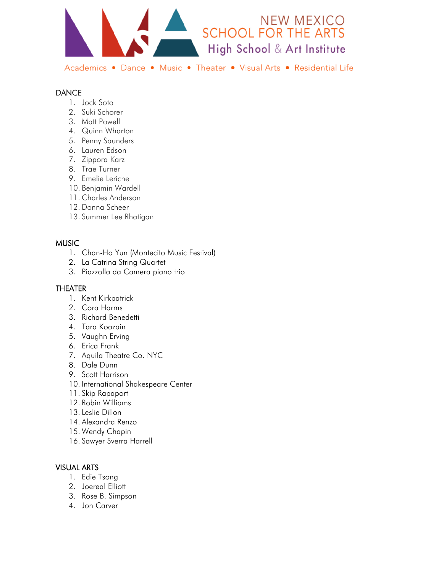

### **DANCE**

- 1. Jock Soto
- 2. Suki Schorer
- 3. Matt Powell
- 4. Quinn Wharton
- 5. Penny Saunders
- 6. Lauren Edson
- 7. Zippora Karz
- 8. Trae Turner
- 9. Emelie Leriche
- 10. Benjamin Wardell
- 11. Charles Anderson
- 12. Donna Scheer
- 13. Summer Lee Rhatigan

### MUSIC

- 1. Chan-Ho Yun (Montecito Music Festival)
- 2. La Catrina String Quartet
- 3. Piazzolla da Camera piano trio

### THEATER

- 1. Kent Kirkpatrick
- 2. Cora Harms
- 3. Richard Benedetti
- 4. Tara Koazain
- 5. Vaughn Erving
- 6. Erica Frank
- 7. Aquila Theatre Co. NYC
- 8. Dale Dunn
- 9. Scott Harrison
- 10. International Shakespeare Center
- 11. Skip Rapaport
- 12. Robin Williams
- 13. Leslie Dillon
- 14. Alexandra Renzo
- 15. Wendy Chapin
- 16. Sawyer Sverra Harrell

### VISUAL ARTS

- 1. Edie Tsong
- 2. Joereal Elliott
- 3. Rose B. Simpson
- 4. Jon Carver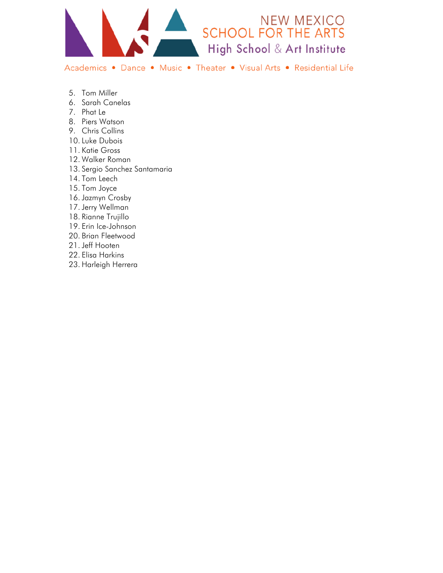

- 5. Tom Miller
- 6. Sarah Canelas
- 7. Phat Le
- 8. Piers Watson
- 9. Chris Collins
- 10. Luke Dubois
- 11. Katie Gross
- 12. Walker Roman
- 13. Sergio Sanchez Santamaria
- 14. Tom Leech
- 15. Tom Joyce
- 16. Jazmyn Crosby
- 17. Jerry Wellman
- 18. Rianne Trujillo
- 19. Erin Ice-Johnson
- 20. Brian Fleetwood
- 21. Jeff Hooten
- 22. Elisa Harkins
- 23. Harleigh Herrera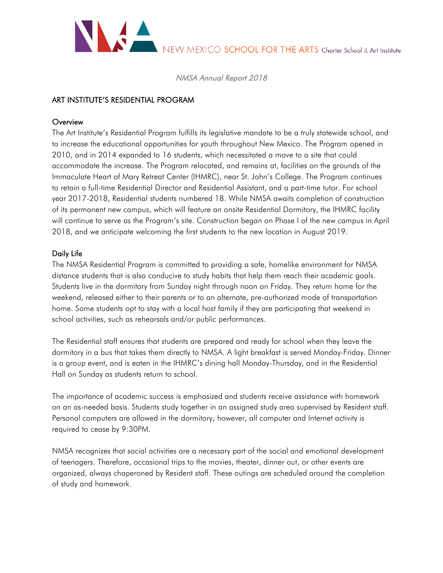

### ART INSTITUTE'S RESIDENTIAL PROGRAM

### **Overview**

The Art Institute's Residential Program fulfills its legislative mandate to be a truly statewide school, and to increase the educational opportunities for youth throughout New Mexico. The Program opened in 2010, and in 2014 expanded to 16 students, which necessitated a move to a site that could accommodate the increase. The Program relocated, and remains at, facilities on the grounds of the Immaculate Heart of Mary Retreat Center (IHMRC), near St. John's College. The Program continues to retain a full-time Residential Director and Residential Assistant, and a part-time tutor. For school year 2017-2018, Residential students numbered 18. While NMSA awaits completion of construction of its permanent new campus, which will feature an onsite Residential Dormitory, the IHMRC facility will continue to serve as the Program's site. Construction began on Phase I of the new campus in April 2018, and we anticipate welcoming the first students to the new location in August 2019.

### Daily Life

The NMSA Residential Program is committed to providing a safe, homelike environment for NMSA distance students that is also conducive to study habits that help them reach their academic goals. Students live in the dormitory from Sunday night through noon on Friday. They return home for the weekend, released either to their parents or to an alternate, pre-authorized mode of transportation home. Some students opt to stay with a local host family if they are participating that weekend in school activities, such as rehearsals and/or public performances.

The Residential staff ensures that students are prepared and ready for school when they leave the dormitory in a bus that takes them directly to NMSA. A light breakfast is served Monday-Friday. Dinner is a group event, and is eaten in the IHMRC's dining hall Monday-Thursday, and in the Residential Hall on Sunday as students return to school.

The importance of academic success is emphasized and students receive assistance with homework on an as-needed basis. Students study together in an assigned study area supervised by Resident staff. Personal computers are allowed in the dormitory; however, all computer and Internet activity is required to cease by 9:30PM.

NMSA recognizes that social activities are a necessary part of the social and emotional development of teenagers. Therefore, occasional trips to the movies, theater, dinner out, or other events are organized, always chaperoned by Resident staff. These outings are scheduled around the completion of study and homework.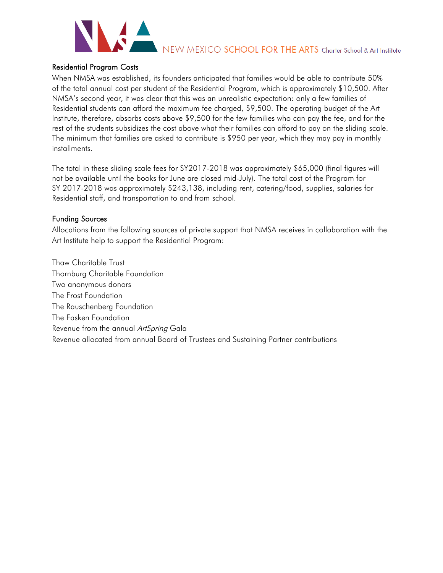

### Residential Program Costs

When NMSA was established, its founders anticipated that families would be able to contribute 50% of the total annual cost per student of the Residential Program, which is approximately \$10,500. After NMSA's second year, it was clear that this was an unrealistic expectation: only a few families of Residential students can afford the maximum fee charged, \$9,500. The operating budget of the Art Institute, therefore, absorbs costs above \$9,500 for the few families who can pay the fee, and for the rest of the students subsidizes the cost above what their families can afford to pay on the sliding scale. The minimum that families are asked to contribute is \$950 per year, which they may pay in monthly installments.

The total in these sliding scale fees for SY2017-2018 was approximately \$65,000 (final figures will not be available until the books for June are closed mid-July). The total cost of the Program for SY 2017-2018 was approximately \$243,138, including rent, catering/food, supplies, salaries for Residential staff, and transportation to and from school.

### Funding Sources

Allocations from the following sources of private support that NMSA receives in collaboration with the Art Institute help to support the Residential Program:

Thaw Charitable Trust Thornburg Charitable Foundation Two anonymous donors The Frost Foundation The Rauschenberg Foundation The Fasken Foundation Revenue from the annual ArtSpring Gala Revenue allocated from annual Board of Trustees and Sustaining Partner contributions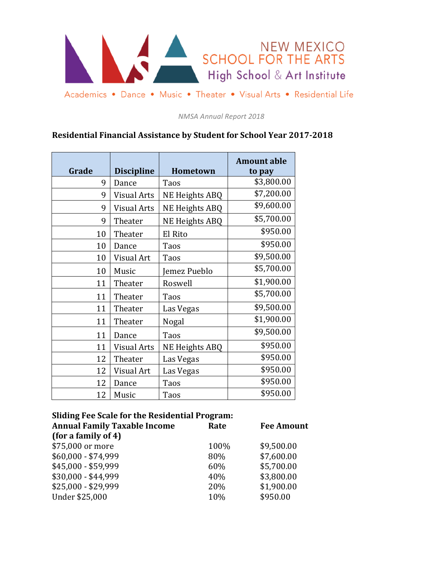

*NMSA Annual Report 2018*

# **Residential Financial Assistance by Student for School Year 2017-2018**

| Grade | <b>Discipline</b>  | <b>Hometown</b>       | <b>Amount able</b><br>to pay |
|-------|--------------------|-----------------------|------------------------------|
| 9     | Dance              | Taos                  | \$3,800.00                   |
| 9     | Visual Arts        | <b>NE Heights ABQ</b> | \$7,200.00                   |
| 9     | Visual Arts        | NE Heights ABQ        | \$9,600.00                   |
| 9     | Theater            | NE Heights ABQ        | \$5,700.00                   |
| 10    | Theater            | El Rito               | \$950.00                     |
| 10    | Dance              | Taos                  | \$950.00                     |
| 10    | Visual Art         | Taos                  | \$9,500.00                   |
| 10    | Music              | Jemez Pueblo          | \$5,700.00                   |
| 11    | Theater            | Roswell               | \$1,900.00                   |
| 11    | Theater            | Taos                  | \$5,700.00                   |
| 11    | Theater            | Las Vegas             | \$9,500.00                   |
| 11    | Theater            | Nogal                 | \$1,900.00                   |
| 11    | Dance              | Taos                  | \$9,500.00                   |
| 11    | <b>Visual Arts</b> | <b>NE Heights ABQ</b> | \$950.00                     |
| 12    | Theater            | Las Vegas             | \$950.00                     |
| 12    | Visual Art         | Las Vegas             | \$950.00                     |
| 12    | Dance              | Taos                  | \$950.00                     |
| 12    | Music              | Taos                  | \$950.00                     |

# **Sliding Fee Scale for the Residential Program:**

| Rate | <b>Fee Amount</b> |  |
|------|-------------------|--|
|      |                   |  |
| 100% | \$9,500.00        |  |
| 80%  | \$7,600.00        |  |
| 60%  | \$5,700.00        |  |
| 40%  | \$3,800.00        |  |
| 20%  | \$1,900.00        |  |
| 10%  | \$950.00          |  |
|      |                   |  |